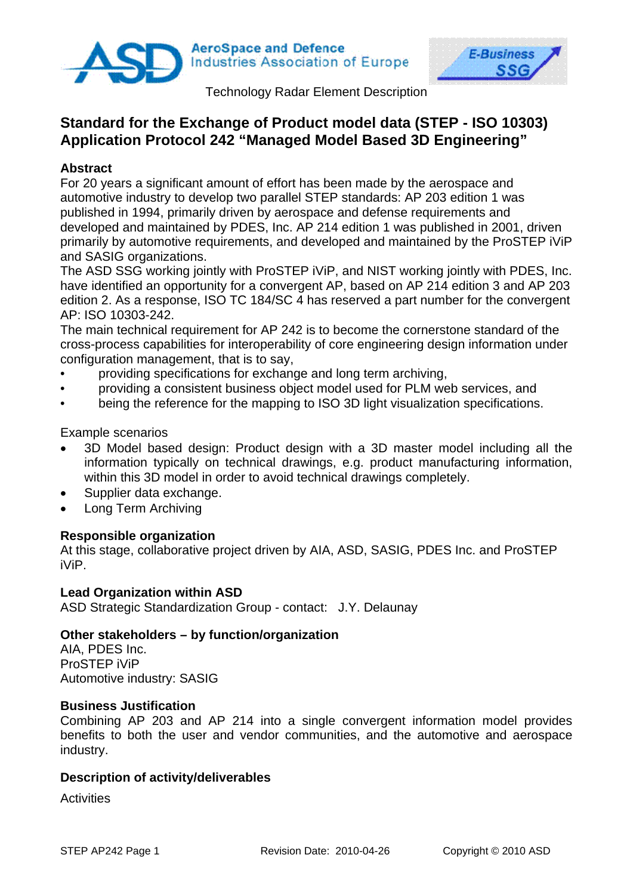

**AeroSpace and Defence Industries Association of Europe** 



Technology Radar Element Description

# **Standard for the Exchange of Product model data (STEP - ISO 10303) Application Protocol 242 "Managed Model Based 3D Engineering"**

# **Abstract**

For 20 years a significant amount of effort has been made by the aerospace and automotive industry to develop two parallel STEP standards: AP 203 edition 1 was published in 1994, primarily driven by aerospace and defense requirements and developed and maintained by PDES, Inc. AP 214 edition 1 was published in 2001, driven primarily by automotive requirements, and developed and maintained by the ProSTEP iViP and SASIG organizations.

The ASD SSG working jointly with ProSTEP iViP, and NIST working jointly with PDES, Inc. have identified an opportunity for a convergent AP, based on AP 214 edition 3 and AP 203 edition 2. As a response, ISO TC 184/SC 4 has reserved a part number for the convergent AP: ISO 10303-242.

The main technical requirement for AP 242 is to become the cornerstone standard of the cross-process capabilities for interoperability of core engineering design information under configuration management, that is to say,

- providing specifications for exchange and long term archiving,
- providing a consistent business object model used for PLM web services, and
- being the reference for the mapping to ISO 3D light visualization specifications.

Example scenarios

- 3D Model based design: Product design with a 3D master model including all the information typically on technical drawings, e.g. product manufacturing information, within this 3D model in order to avoid technical drawings completely.
- Supplier data exchange.
- Long Term Archiving

# **Responsible organization**

At this stage, collaborative project driven by AIA, ASD, SASIG, PDES Inc. and ProSTEP iViP.

### **Lead Organization within ASD**

ASD Strategic Standardization Group - contact: J.Y. Delaunay

### **Other stakeholders – by function/organization**

AIA, PDES Inc. ProSTEP iViP Automotive industry: SASIG

### **Business Justification**

Combining AP 203 and AP 214 into a single convergent information model provides benefits to both the user and vendor communities, and the automotive and aerospace industry.

### **Description of activity/deliverables**

**Activities**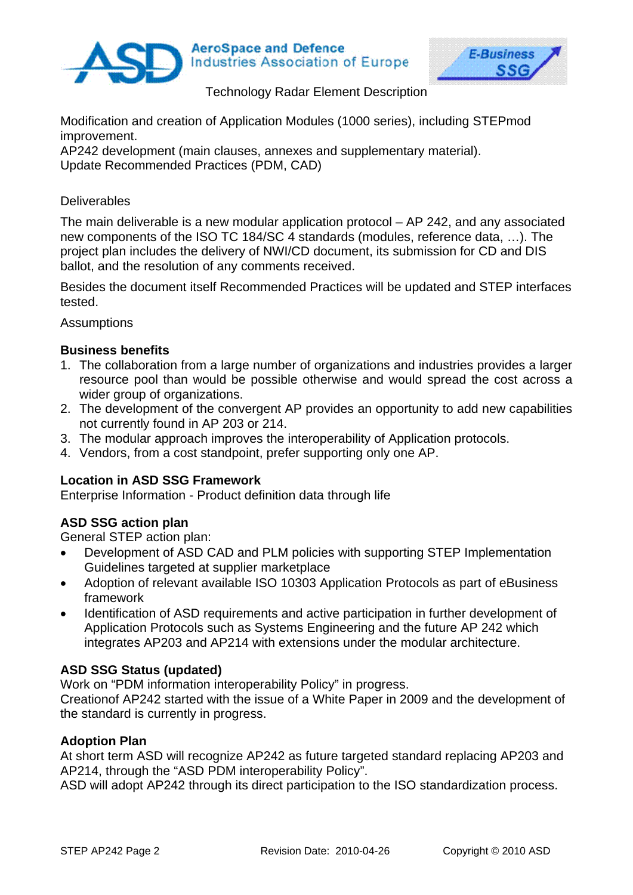

**AeroSpace and Defence Industries Association of Europe** 



Technology Radar Element Description

Modification and creation of Application Modules (1000 series), including STEPmod improvement.

AP242 development (main clauses, annexes and supplementary material). Update Recommended Practices (PDM, CAD)

# **Deliverables**

The main deliverable is a new modular application protocol – AP 242, and any associated new components of the ISO TC 184/SC 4 standards (modules, reference data, …). The project plan includes the delivery of NWI/CD document, its submission for CD and DIS ballot, and the resolution of any comments received.

Besides the document itself Recommended Practices will be updated and STEP interfaces tested.

**Assumptions** 

# **Business benefits**

- 1. The collaboration from a large number of organizations and industries provides a larger resource pool than would be possible otherwise and would spread the cost across a wider group of organizations.
- 2. The development of the convergent AP provides an opportunity to add new capabilities not currently found in AP 203 or 214.
- 3. The modular approach improves the interoperability of Application protocols.
- 4. Vendors, from a cost standpoint, prefer supporting only one AP.

# **Location in ASD SSG Framework**

Enterprise Information - Product definition data through life

# **ASD SSG action plan**

General STEP action plan:

- Development of ASD CAD and PLM policies with supporting STEP Implementation Guidelines targeted at supplier marketplace
- Adoption of relevant available ISO 10303 Application Protocols as part of eBusiness framework
- Identification of ASD requirements and active participation in further development of Application Protocols such as Systems Engineering and the future AP 242 which integrates AP203 and AP214 with extensions under the modular architecture.

# **ASD SSG Status (updated)**

Work on "PDM information interoperability Policy" in progress.

Creationof AP242 started with the issue of a White Paper in 2009 and the development of the standard is currently in progress.

# **Adoption Plan**

At short term ASD will recognize AP242 as future targeted standard replacing AP203 and AP214, through the "ASD PDM interoperability Policy".

ASD will adopt AP242 through its direct participation to the ISO standardization process.